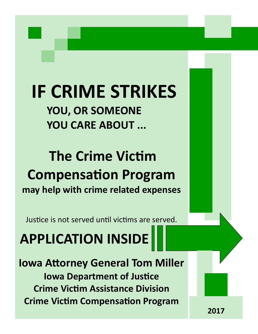# **IF CRIME STRIKES YOU, OR SOMEONE YOU CARE ABOUT ...**

# **The Crime Victim Compensation Program may help with crime related expenses**

Justice is not served until victims are served.

**APPLICATION INSIDE** 

**Iowa Attorney General Tom Miller Iowa Department of Justice Crime Victim Assistance Division Crime Victim Compensation Program** 

**2017**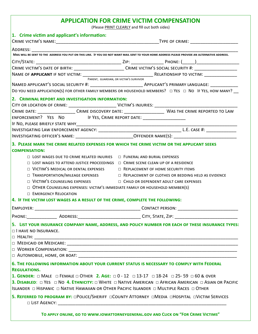# **APPLICATION FOR CRIME VICTIM COMPENSATION**

(Please PRINT CLEARLY and fill out both sides)

| 1. Crime victim and applicant's information:                                               |                                                                                                                                                                                                                                                                               |
|--------------------------------------------------------------------------------------------|-------------------------------------------------------------------------------------------------------------------------------------------------------------------------------------------------------------------------------------------------------------------------------|
|                                                                                            |                                                                                                                                                                                                                                                                               |
|                                                                                            |                                                                                                                                                                                                                                                                               |
|                                                                                            |                                                                                                                                                                                                                                                                               |
|                                                                                            |                                                                                                                                                                                                                                                                               |
|                                                                                            |                                                                                                                                                                                                                                                                               |
|                                                                                            | PARENT, GUARDIAN, OR VICTIM'S SURVIVOR                                                                                                                                                                                                                                        |
|                                                                                            | DO YOU NEED APPLICATION(S) FOR OTHER FAMILY MEMBERS OR HOUSEHOLD MEMBERS? □ YES □ NO IF YES, HOW MANY?                                                                                                                                                                        |
|                                                                                            |                                                                                                                                                                                                                                                                               |
| 2. CRIMINAL REPORT AND INVESTIGATION INFORMATION:                                          |                                                                                                                                                                                                                                                                               |
|                                                                                            |                                                                                                                                                                                                                                                                               |
|                                                                                            |                                                                                                                                                                                                                                                                               |
| ENFORCEMENT? YES NO IF YES, CRIME REPORT DATE: _________________________________           |                                                                                                                                                                                                                                                                               |
|                                                                                            |                                                                                                                                                                                                                                                                               |
|                                                                                            |                                                                                                                                                                                                                                                                               |
|                                                                                            |                                                                                                                                                                                                                                                                               |
|                                                                                            | 3. PLEASE MARK THE CRIME RELATED EXPENSES FOR WHICH THE CRIME VICTIM OR THE APPLICANT SEEKS                                                                                                                                                                                   |
| <b>COMPENSATION:</b>                                                                       |                                                                                                                                                                                                                                                                               |
| $\Box$ LOST WAGES DUE TO CRIME RELATED INJURIES $\Box$ FUNERAL AND BURIAL EXPENSES         |                                                                                                                                                                                                                                                                               |
| $\Box$ LOST WAGES TO ATTEND JUSTICE PROCEEDINGS $\Box$ CRIME SCENE CLEAN UP OF A RESIDENCE |                                                                                                                                                                                                                                                                               |
| □ VICTIM'S MEDICAL OR DENTAL EXPENSES □ REPLACEMENT OF HOME SECURITY ITEMS                 |                                                                                                                                                                                                                                                                               |
|                                                                                            | $\Box$ TRANSPORTATION/MILEAGE EXPENSES $\Box$ REPLACEMENT OF CLOTHES OR BEDDING HELD AS EVIDENCE                                                                                                                                                                              |
|                                                                                            | □ VICTIM'S COUNSELING EXPENSES □ □ CHILD OR DEPENDENT ADULT CARE EXPENSES                                                                                                                                                                                                     |
| OTHER COUNSELING EXPENSES: VICTIM'S IMMEDIATE FAMILY OR HOUSEHOLD MEMBER(S)                |                                                                                                                                                                                                                                                                               |
| <b>EMERGENCY RELOCATION</b>                                                                |                                                                                                                                                                                                                                                                               |
| 4. IF THE VICTIM LOST WAGES AS A RESULT OF THE CRIME, COMPLETE THE FOLLOWING:              |                                                                                                                                                                                                                                                                               |
|                                                                                            |                                                                                                                                                                                                                                                                               |
|                                                                                            | PHONE:_______________________ADDRESS:_________________________________CITY, STATE, ZIP: ____________________________                                                                                                                                                          |
| $\Box$ I HAVE NO INSURANCE.                                                                | 5. LIST YOUR INSURANCE COMPANY NAME, ADDRESS, AND POLICY NUMBER FOR EACH OF THESE INSURANCE TYPES:                                                                                                                                                                            |
|                                                                                            |                                                                                                                                                                                                                                                                               |
| <b>REGULATIONS.</b>                                                                        | 6. THE FOLLOWING INFORMATION ABOUT YOUR CURRENT STATUS IS NECESSARY TO COMPLY WITH FEDERAL                                                                                                                                                                                    |
|                                                                                            | 1. GENDER: $\Box$ MALE $\Box$ FEMALE $\Box$ OTHER 2. AGE: $\Box$ 0 - 12 $\Box$ 13-17 $\Box$ 18-24 $\Box$ 25-59 $\Box$ 60 & OVER<br><b>3. DISABLED:</b> $\Box$ YES $\Box$ NO 4. ETHNICITY: $\Box$ WHITE $\Box$ NATIVE AMERICAN $\Box$ AFRICAN AMERICAN $\Box$ ASIAN OR PACIFIC |
|                                                                                            | 5. REFERRED TO PROGRAM BY: OPOLICE/SHERIFF OCOUNTY ATTORNEY OMEDIA OHOSPITAL OVICTIM SERVICES                                                                                                                                                                                 |
|                                                                                            | TO APPLY ONLINE, GO TO WWW.IOWATTORNEYGENERAL.GOV AND CLICK ON "FOR CRIME VICTIMS"                                                                                                                                                                                            |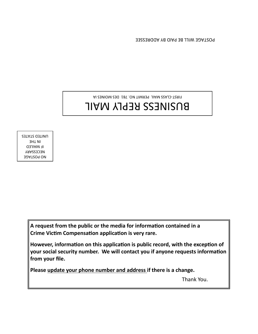POSTAGE WILL BE PAID BY ADDRESSEE

FIRST-CLASS MAIL PERMIT NO. 781 DES MOINES IA

# BUSINESS REPLY MAIL

NO POSTAGE NECESSARY IF MAILED IN THE UNITED STATES

> **A request from the public or the media for information contained in a Crime Victim Compensation application is very rare.**

**However, information on this application is public record, with the exception of your social security number. We will contact you if anyone requests information from your file.** 

**Please update your phone number and address if there is a change.** 

Thank You.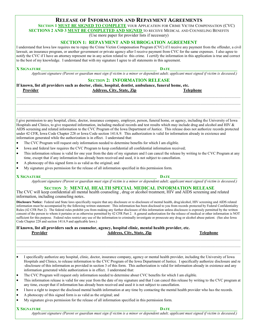### **RELEASE OF INFORMATION AND REPAYMENT AGREEMENTS SECTION 1 MUST BE SIGNED TO COMPLETE** YOUR APPLICATION FOR CRIME VICTIM COMPENSATION (CVC)

**SECTIONS 2 AND 3 MUST BE COMPLETED AND SIGNED** TO RECEIVE MEDICAL AND COUNSELING BENEFITS

(Use more paper for provider lists if necessary)

### **SECTION 1: REPAYMENT AND SUBROGATION AGREEMENT**

I understand that Iowa law requires me to repay the Crime Victim Compensation Program (CVC) if I receive any payment from the offender, a civil lawsuit, an insurance program, or another government or private agency after I receive payment from CVC for the same expenses. I also agree to notify the CVC if I have an attorney represent me in any action related to this crime. I certify the information in this application is true and correct to the best of my knowledge. I understand that with my signature I agree to all statements in this agreement.

### **X** SIGNATURE

*Applicant signature (Parent or guardian must sign if victim is a minor or dependent adult; applicant must signed if victim is deceased.)*

#### **SECTION 2: INFORMATION RELEASE**

*\_\_\_\_\_\_\_\_\_\_\_\_\_\_\_\_\_\_\_\_\_\_\_\_\_\_\_\_\_\_\_\_\_\_\_\_\_\_\_\_\_\_\_\_\_\_\_\_\_\_\_\_\_\_\_\_\_\_\_\_\_\_\_\_\_\_\_\_\_\_\_\_\_\_\_\_\_\_\_\_\_\_\_\_\_\_\_\_\_\_\_\_\_\_\_\_\_\_\_\_\_\_\_\_\_\_\_\_\_\_\_\_\_\_\_\_\_\_\_\_\_\_\_\_\_\_\_\_\_\_\_\_\_\_\_\_\_\_\_\_\_\_\_\_\_\_\_\_\_\_\_\_*

 $\mathcal{L}_\mathcal{L} = \mathcal{L}_\mathcal{L} = \mathcal{L}_\mathcal{L} = \mathcal{L}_\mathcal{L} = \mathcal{L}_\mathcal{L} = \mathcal{L}_\mathcal{L} = \mathcal{L}_\mathcal{L} = \mathcal{L}_\mathcal{L} = \mathcal{L}_\mathcal{L} = \mathcal{L}_\mathcal{L} = \mathcal{L}_\mathcal{L} = \mathcal{L}_\mathcal{L} = \mathcal{L}_\mathcal{L} = \mathcal{L}_\mathcal{L} = \mathcal{L}_\mathcal{L} = \mathcal{L}_\mathcal{L} = \mathcal{L}_\mathcal{L}$ 

|          | If known, list all providers such as doctor, clinic, hospital, dentist, ambulance, funeral home, etc. |                  |
|----------|-------------------------------------------------------------------------------------------------------|------------------|
| Provider | <b>Address, City, State, Zip</b>                                                                      | <b>Telephone</b> |

I give permission to any hospital, clinic, doctor, insurance company, employer, person, funeral home, or agency, including the University of Iowa Hospitals and Clinics, to give requested information, including medical records and test results which may include drug and alcohol and HIV  $\&$ AIDS screening and related information to the CVC Program of the Iowa Department of Justice. This release does not authorize records protected under 42 CFR, Iowa Code Chapter 228 or Iowa Code section 141A.9. This authorization is valid for information already in existence and information generated while the authorization is in effect. I understand that:

- The CVC Program will request only information needed to determine benefits for which I am eligible.
- Iowa and federal law requires the CVC Program to keep confidential all confidential information received;
- This information release is valid for one year from the date of my signature and I can cancel the release by writing to the CVC Program at any time, except that if any information has already been received and used, it is not subject to cancellation.
- A photocopy of this signed form is as valid as the original; and
- My signature gives permission for the release of all information specified in this permission form.

#### **X SIGNATURE\_\_\_\_\_\_\_\_\_\_\_\_\_\_\_\_\_\_\_\_\_\_\_\_\_\_\_\_\_\_\_\_\_\_\_\_\_\_\_\_\_\_\_\_\_\_\_\_\_\_\_\_\_\_\_ DATE\_\_\_\_\_\_\_\_\_\_\_\_\_\_\_\_\_\_\_\_\_\_\_\_\_\_\_\_\_\_\_\_**

*Applicant signature (Parent or guardian must sign if victim is a minor or dependent adult; applicant must signed if victim is deceased.)*

### **SECTION 3: MENTAL HEALTH SPECIAL MEDICAL INFORMATION RELEASE**

The CVC will keep confidential all mental health counseling , drug or alcohol treatment, HIV and AIDS screening and related information, including counseling notes.

**Disclosure Notice:** Federal and State laws specifically require that any disclosure or re-disclosure of mental health, drug/alcohol, HIV screening and AIDS related information must be accompanied by the following written statement: This information has been disclosed to you from records protected by Federal Confidentiality Rules (42 CFR Part 2). The federal rules prohibit you from making any further disclosure of this information unless disclosure is expressly permitted by the written consent of the person to whom it pertains or as otherwise permitted by 42 CFR Part 2. A general authorization for the release of medical or other information is NOT sufficient for this purpose. Federal rules restrict any use of the information to criminally investigate or prosecute any drug or alcohol abuse patient. (See also Iowa Code Chapter 228 and section 141A.9 and applicable laws.)

**If known, list all providers such as counselor, agency, hospital clinic, mental health provider, etc. Provider Address, City, State, Zip Telephone**

 I specifically authorize any hospital, clinic, doctor, insurance company, agency or mental health provider, including the University of Iowa Hospitals and Clinics, to release information to the CVC Program of the Iowa Department of Justice. I specifically authorize disclosure and re -disclosure of this information as provided in section 3 of this form. This authorization is valid for information already in existence and any information generated while authorization is in effect. I understand that:

*\_\_\_\_\_\_\_\_\_\_\_\_\_\_\_\_\_\_\_\_\_\_\_\_\_\_\_\_\_\_\_\_\_\_\_\_\_\_\_\_\_\_\_\_\_\_\_\_\_\_\_\_\_\_\_\_\_\_\_\_\_\_\_\_\_\_\_\_\_\_\_\_\_\_\_\_\_\_\_\_\_\_\_\_\_\_\_\_\_\_\_\_\_\_\_\_\_\_\_\_\_\_\_\_\_\_\_\_\_\_\_\_\_\_\_\_\_\_\_\_\_\_\_\_\_\_\_\_\_\_\_\_\_\_\_\_\_\_\_\_\_\_\_\_\_\_\_\_\_\_\_\_*  $\mathcal{L}_\mathcal{L} = \mathcal{L}_\mathcal{L} = \mathcal{L}_\mathcal{L} = \mathcal{L}_\mathcal{L} = \mathcal{L}_\mathcal{L} = \mathcal{L}_\mathcal{L} = \mathcal{L}_\mathcal{L} = \mathcal{L}_\mathcal{L} = \mathcal{L}_\mathcal{L} = \mathcal{L}_\mathcal{L} = \mathcal{L}_\mathcal{L} = \mathcal{L}_\mathcal{L} = \mathcal{L}_\mathcal{L} = \mathcal{L}_\mathcal{L} = \mathcal{L}_\mathcal{L} = \mathcal{L}_\mathcal{L} = \mathcal{L}_\mathcal{L}$ 

- The CVC Program will request only information needed to determine about CVC benefits for which I am eligible.
- This information release is valid for one year from the date of my signature and that I can cancel this release by writing to the CVC program at any time, except that if information has already been received and used it is not subject to cancellation.
- I have a right to inspect the disclosed mental health information at any time by contacting the mental health provider who has the records.
- A photocopy of this signed form is as valid as the original; and
- My signature gives permission for the release of all information specified in this permission form.

**X** SIGNATURE

*Applicant signature (Parent or guardian must sign if victim is a minor or dependent adult; applicant must signed if victim is deceased.)*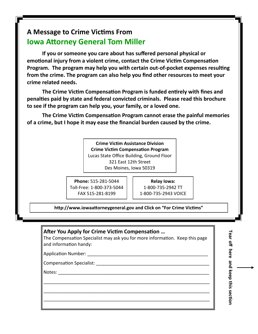# **A Message to Crime Victims From Iowa Attorney General Tom Miller**

**If you or someone you care about has suffered personal physical or emotional injury from a violent crime, contact the Crime Victim Compensation Program. The program may help you with certain out-of-pocket expenses resulting from the crime. The program can also help you find other resources to meet your crime related needs.**

**The Crime Victim Compensation Program is funded entirely with fines and penalties paid by state and federal convicted criminals. Please read this brochure to see if the program can help you, your family, or a loved one.** 

**The Crime Victim Compensation Program cannot erase the painful memories of a crime, but I hope it may ease the financial burden caused by the crime.**

> **Crime Victim Assistance Division Crime Victim Compensation Program** Lucas State Office Building, Ground Floor 321 East 12th Street Des Moines, Iowa 50319

**Phone:** 515-281-5044 Toll-Free: 1-800-373-5044 FAX 515-281-8199

**Relay Iowa:**  1-800-735-2942 TT 1-800-735-2943 VOICE

**http://www.iowaattorneygeneral.gov and Click on "For Crime Victims"**